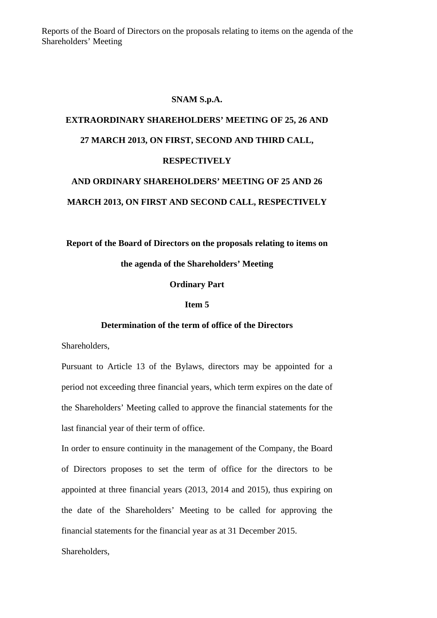Reports of the Board of Directors on the proposals relating to items on the agenda of the Shareholders' Meeting

### **SNAM S.p.A.**

## **EXTRAORDINARY SHAREHOLDERS' MEETING OF 25, 26 AND 27 MARCH 2013, ON FIRST, SECOND AND THIRD CALL, RESPECTIVELY AND ORDINARY SHAREHOLDERS' MEETING OF 25 AND 26**

# **MARCH 2013, ON FIRST AND SECOND CALL, RESPECTIVELY**

### **Report of the Board of Directors on the proposals relating to items on the agenda of the Shareholders' Meeting**

### **Ordinary Part**

### **Item 5**

### **Determination of the term of office of the Directors**

Shareholders,

Pursuant to Article 13 of the Bylaws, directors may be appointed for a period not exceeding three financial years, which term expires on the date of the Shareholders' Meeting called to approve the financial statements for the last financial year of their term of office.

In order to ensure continuity in the management of the Company, the Board of Directors proposes to set the term of office for the directors to be appointed at three financial years (2013, 2014 and 2015), thus expiring on the date of the Shareholders' Meeting to be called for approving the financial statements for the financial year as at 31 December 2015.

Shareholders,